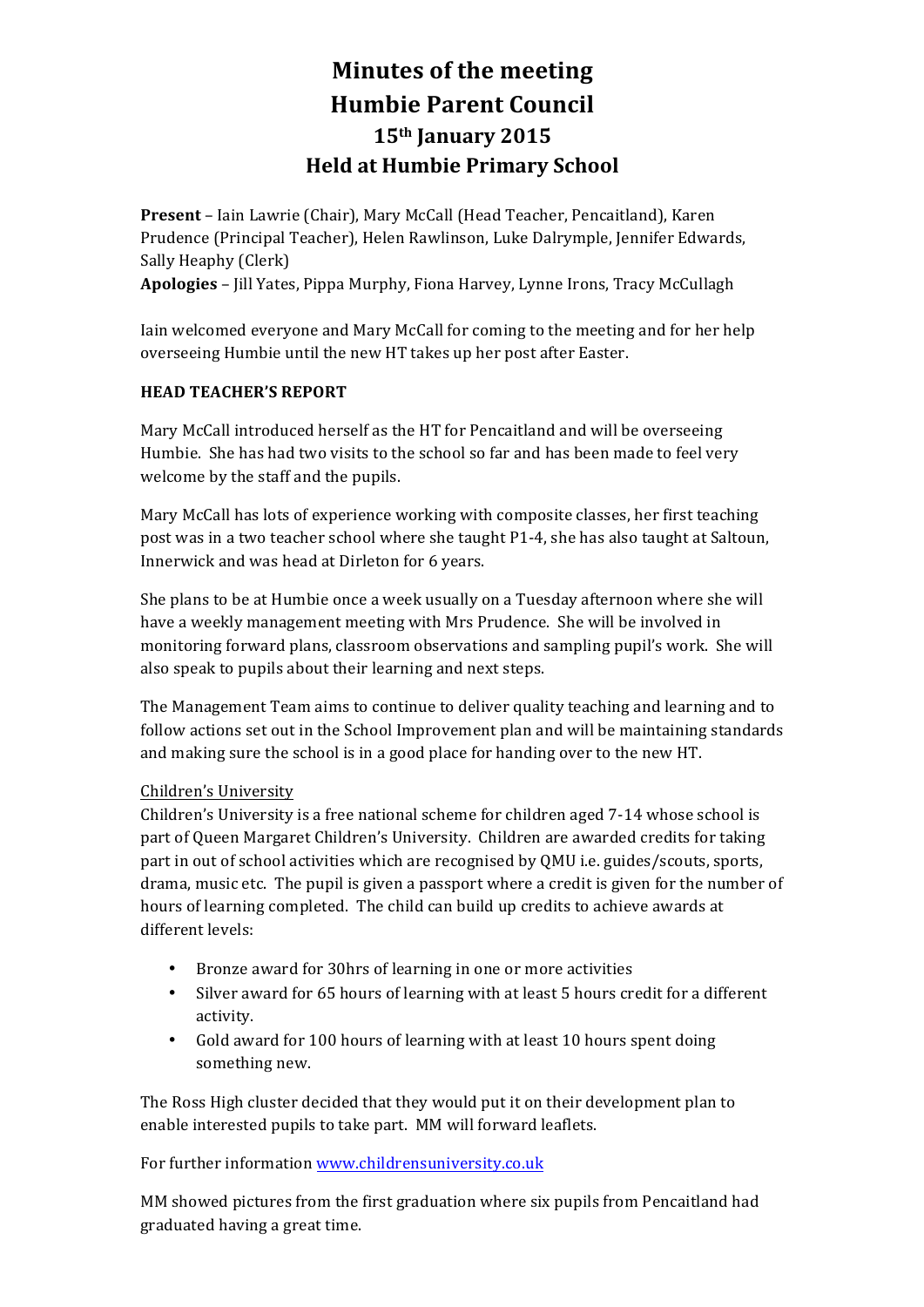# **Minutes of the meeting Humbie Parent Council 15th January 2015 Held at Humbie Primary School**

**Present** – Iain Lawrie (Chair), Mary McCall (Head Teacher, Pencaitland), Karen Prudence (Principal Teacher), Helen Rawlinson, Luke Dalrymple, Jennifer Edwards, Sally Heaphy (Clerk)

Apologies - Jill Yates, Pippa Murphy, Fiona Harvey, Lynne Irons, Tracy McCullagh

Iain welcomed everyone and Mary McCall for coming to the meeting and for her help overseeing Humbie until the new HT takes up her post after Easter.

## **HEAD TEACHER'S REPORT**

Mary McCall introduced herself as the HT for Pencaitland and will be overseeing Humbie. She has had two visits to the school so far and has been made to feel very welcome by the staff and the pupils.

Mary McCall has lots of experience working with composite classes, her first teaching post was in a two teacher school where she taught P1-4, she has also taught at Saltoun, Innerwick and was head at Dirleton for 6 years.

She plans to be at Humbie once a week usually on a Tuesday afternoon where she will have a weekly management meeting with Mrs Prudence. She will be involved in monitoring forward plans, classroom observations and sampling pupil's work. She will also speak to pupils about their learning and next steps.

The Management Team aims to continue to deliver quality teaching and learning and to follow actions set out in the School Improvement plan and will be maintaining standards and making sure the school is in a good place for handing over to the new HT.

# Children's University

Children's University is a free national scheme for children aged 7-14 whose school is part of Queen Margaret Children's University. Children are awarded credits for taking part in out of school activities which are recognised by QMU i.e. guides/scouts, sports, drama, music etc. The pupil is given a passport where a credit is given for the number of hours of learning completed. The child can build up credits to achieve awards at different levels:

- Bronze award for 30hrs of learning in one or more activities
- Silver award for 65 hours of learning with at least 5 hours credit for a different activity.
- Gold award for 100 hours of learning with at least 10 hours spent doing something new.

The Ross High cluster decided that they would put it on their development plan to enable interested pupils to take part. MM will forward leaflets.

For further information www.childrensuniversity.co.uk

MM showed pictures from the first graduation where six pupils from Pencaitland had graduated having a great time.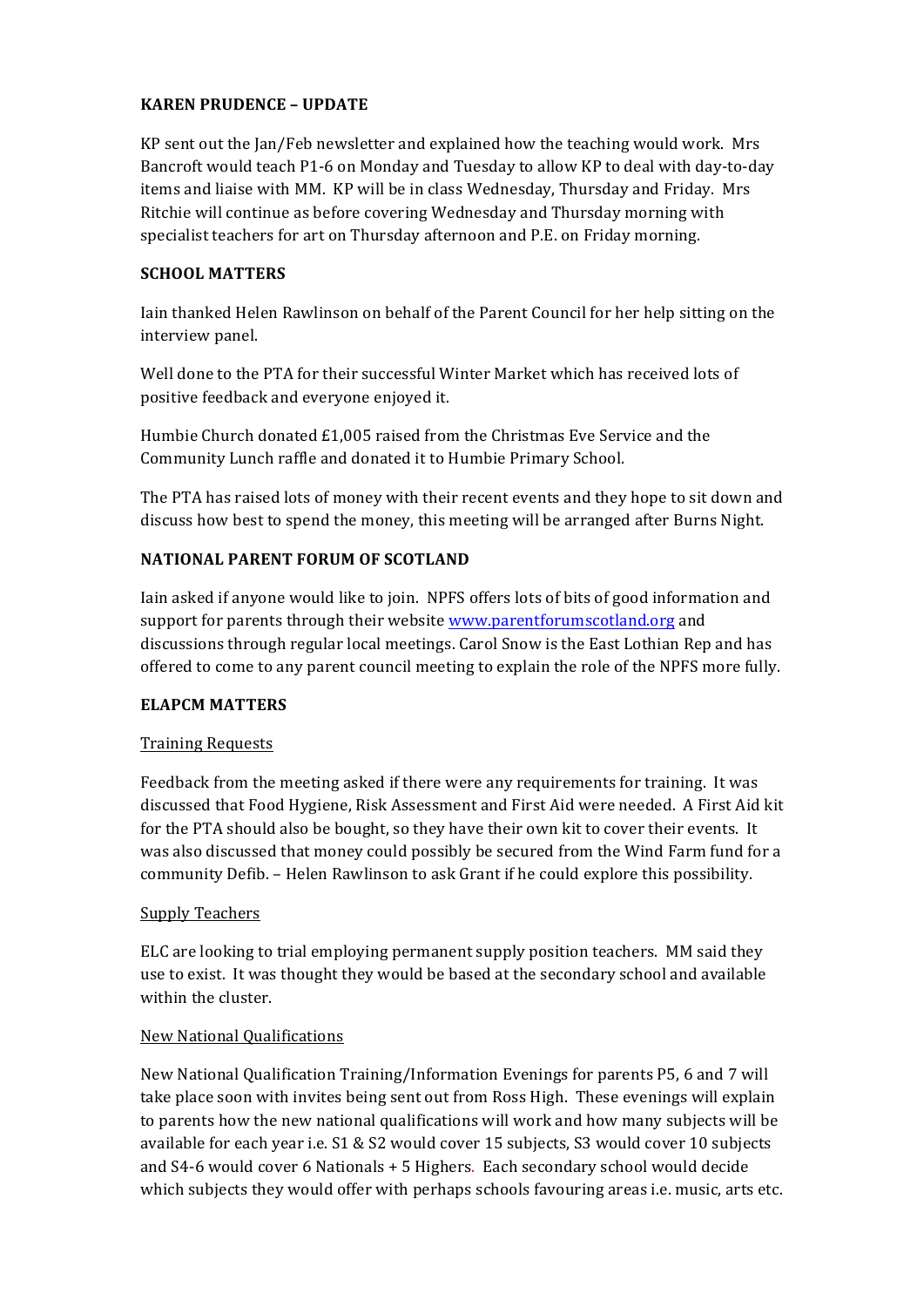## **KAREN PRUDENCE - UPDATE**

KP sent out the Jan/Feb newsletter and explained how the teaching would work. Mrs Bancroft would teach P1-6 on Monday and Tuesday to allow KP to deal with day-to-day items and liaise with MM. KP will be in class Wednesday, Thursday and Friday. Mrs Ritchie will continue as before covering Wednesday and Thursday morning with specialist teachers for art on Thursday afternoon and P.E. on Friday morning.

#### **SCHOOL MATTERS**

Iain thanked Helen Rawlinson on behalf of the Parent Council for her help sitting on the interview panel.

Well done to the PTA for their successful Winter Market which has received lots of positive feedback and everyone enjoyed it.

Humbie Church donated  $£1,005$  raised from the Christmas Eve Service and the Community Lunch raffle and donated it to Humbie Primary School.

The PTA has raised lots of money with their recent events and they hope to sit down and discuss how best to spend the money, this meeting will be arranged after Burns Night.

# **NATIONAL PARENT FORUM OF SCOTLAND**

Iain asked if anyone would like to join. NPFS offers lots of bits of good information and support for parents through their website www.parentforumscotland.org and discussions through regular local meetings. Carol Snow is the East Lothian Rep and has offered to come to any parent council meeting to explain the role of the NPFS more fully.

#### **ELAPCM MATTERS**

#### Training Requests

Feedback from the meeting asked if there were any requirements for training. It was discussed that Food Hygiene, Risk Assessment and First Aid were needed. A First Aid kit for the PTA should also be bought, so they have their own kit to cover their events. It was also discussed that money could possibly be secured from the Wind Farm fund for a community Defib. – Helen Rawlinson to ask Grant if he could explore this possibility.

#### Supply Teachers

ELC are looking to trial employing permanent supply position teachers. MM said they use to exist. It was thought they would be based at the secondary school and available within the cluster.

#### New National Qualifications

New National Qualification Training/Information Evenings for parents P5, 6 and 7 will take place soon with invites being sent out from Ross High. These evenings will explain to parents how the new national qualifications will work and how many subjects will be available for each year i.e.  $S1 & S2$  would cover 15 subjects, S3 would cover 10 subjects and  $S4-6$  would cover 6 Nationals  $+5$  Highers. Each secondary school would decide which subjects they would offer with perhaps schools favouring areas i.e. music, arts etc.